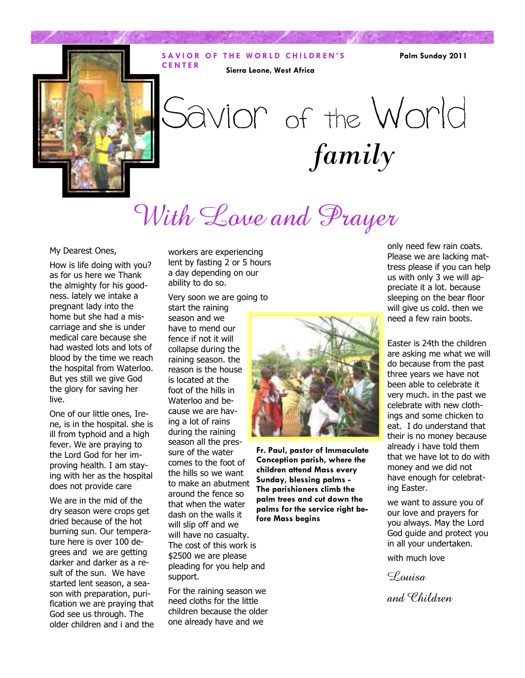#### **SAVIOR OF THE WORLD CHILDREN'S C E N T E R Sierra Leone, West Africa**

**Palm Sunday 2011** 



# *family*  Savior of the World

With Love and Prayer

#### My Dearest Ones,

How is life doing with you? as for us here we Thank the almighty for his goodness. lately we intake a pregnant lady into the home but she had a miscarriage and she is under medical care because she had wasted lots and lots of blood by the time we reach the hospital from Waterloo. But yes still we give God the glory for saving her live.

One of our little ones, Irene, is in the hospital. she is ill from typhoid and a high fever. We are praying to the Lord God for her improving health. I am staying with her as the hospital does not provide care

We are in the mid of the dry season were crops get dried because of the hot burning sun. Our temperature here is over 100 degrees and we are getting darker and darker as a result of the sun. We have started lent season, a season with preparation, purification we are praying that God see us through. The older children and i and the

workers are experiencing lent by fasting 2 or 5 hours a day depending on our ability to do so.

Very soon we are going to start the raining

season and we have to mend our fence if not it will collapse during the raining season. the reason is the house is located at the foot of the hills in Waterloo and because we are having a lot of rains during the raining season all the pressure of the water comes to the foot of the hills so we want to make an abutment around the fence so that when the water dash on the walls it will slip off and we will have no casualty. The cost of this work is \$2500 we are please pleading for you help and support.

For the raining season we need cloths for the little children because the older one already have and we



**Fr. Paul, pastor of Immaculate Conception parish, where the children attend Mass every Sunday, blessing palms - The parishioners climb the palm trees and cut down the palms for the service right before Mass begins** 

only need few rain coats. Please we are lacking mattress please if you can help us with only 3 we will appreciate it a lot. because sleeping on the bear floor will give us cold. then we need a few rain boots.

Easter is 24th the children are asking me what we will do because from the past three years we have not been able to celebrate it very much. in the past we celebrate with new clothings and some chicken to eat. I do understand that their is no money because already i have told them that we have lot to do with money and we did not have enough for celebrating Easter.

we want to assure you of our love and prayers for you always. May the Lord God guide and protect you in all your undertaken.

with much love

 $\mathcal{L}_{\textit{ouisa}}$ 

and Children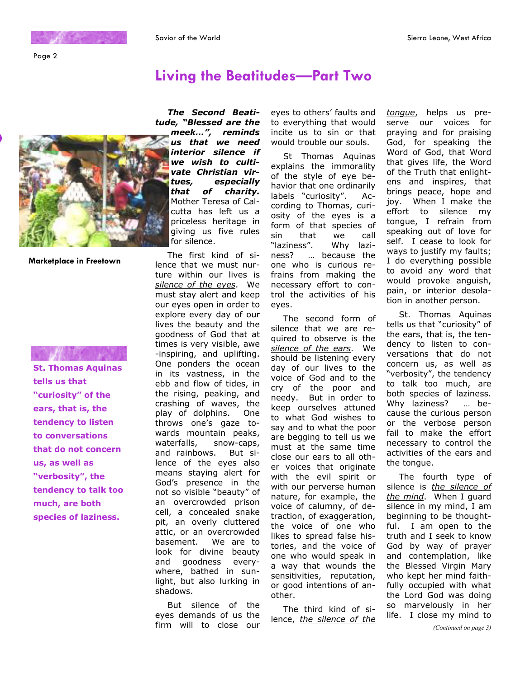Page 2

# **Living the Beatitudes—Part Two**



**Marketplace in Freetown** 

**St. Thomas Aquinas tells us that "curiosity" of the ears, that is, the tendency to listen to conversations that do not concern us, as well as "verbosity", the tendency to talk too much, are both species of laziness.** 

*The Second Beatitude, "Blessed are the meek…", reminds* 

*us that we need interior silence if we wish to cultivate Christian virtues, especially that of charity.* Mother Teresa of Calcutta has left us a priceless heritage in giving us five rules for silence.

The first kind of silence that we must nurture within our lives is *silence of the eyes*. We must stay alert and keep our eyes open in order to explore every day of our lives the beauty and the goodness of God that at times is very visible, awe -inspiring, and uplifting. One ponders the ocean in its vastness, in the ebb and flow of tides, in the rising, peaking, and crashing of waves, the play of dolphins. One throws one's gaze towards mountain peaks, waterfalls, snow-caps, and rainbows. But silence of the eyes also means staying alert for God's presence in the not so visible "beauty" of an overcrowded prison cell, a concealed snake pit, an overly cluttered attic, or an overcrowded basement. We are to look for divine beauty and goodness everywhere, bathed in sunlight, but also lurking in shadows.

But silence of the eyes demands of us the firm will to close our

eyes to others' faults and to everything that would incite us to sin or that would trouble our souls.

St Thomas Aquinas explains the immorality of the style of eye behavior that one ordinarily labels "curiosity". According to Thomas, curiosity of the eyes is a form of that species of sin that we call<br>"laziness". Why lazi-Why laziness? … because the one who is curious refrains from making the necessary effort to control the activities of his eyes.

The second form of silence that we are required to observe is the *silence of the ears*. We should be listening every day of our lives to the voice of God and to the cry of the poor and needy. But in order to keep ourselves attuned to what God wishes to say and to what the poor are begging to tell us we must at the same time close our ears to all other voices that originate with the evil spirit or with our perverse human nature, for example, the voice of calumny, of detraction, of exaggeration, the voice of one who likes to spread false histories, and the voice of one who would speak in a way that wounds the sensitivities, reputation, or good intentions of another.

The third kind of silence, *the silence of the*  *tongue*, helps us preserve our voices for praying and for praising God, for speaking the Word of God, that Word that gives life, the Word of the Truth that enlightens and inspires, that brings peace, hope and joy. When I make the effort to silence my tongue, I refrain from speaking out of love for self. I cease to look for ways to justify my faults; I do everything possible to avoid any word that would provoke anguish, pain, or interior desolation in another person.

St. Thomas Aquinas tells us that "curiosity" of the ears, that is, the tendency to listen to conversations that do not concern us, as well as "verbosity", the tendency to talk too much, are both species of laziness. Why laziness? … because the curious person or the verbose person fail to make the effort necessary to control the activities of the ears and the tongue.

The fourth type of silence is *the silence of the mind*. When I guard silence in my mind, I am beginning to be thoughtful. I am open to the truth and I seek to know God by way of prayer and contemplation, like the Blessed Virgin Mary who kept her mind faithfully occupied with what the Lord God was doing so marvelously in her life. I close my mind to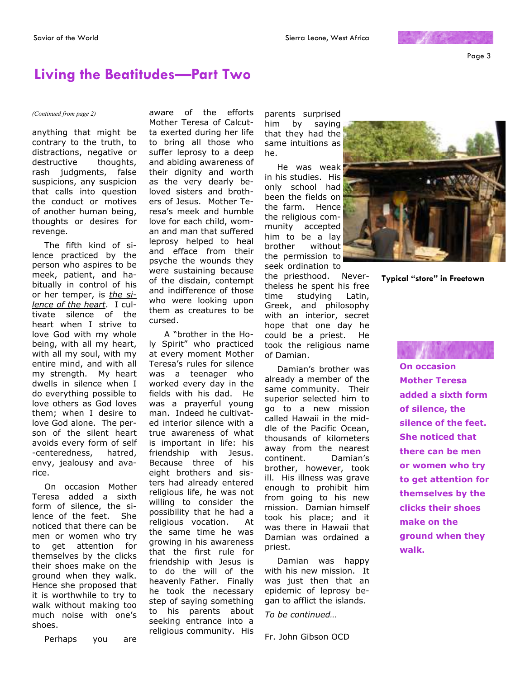Page 3

## **Living the Beatitudes—Part Two**

#### *(Continued from page 2)* aware of the efforts

anything that might be contrary to the truth, to distractions, negative or destructive thoughts, rash judgments, false suspicions, any suspicion that calls into question the conduct or motives of another human being, thoughts or desires for revenge.

The fifth kind of silence practiced by the person who aspires to be meek, patient, and habitually in control of his or her temper, is *the silence of the heart*. I cultivate silence of the heart when I strive to love God with my whole being, with all my heart, with all my soul, with my entire mind, and with all my strength. My heart dwells in silence when I do everything possible to love others as God loves them; when I desire to love God alone. The person of the silent heart avoids every form of self -centeredness, hatred, envy, jealousy and avarice.

On occasion Mother Teresa added a sixth form of silence, the silence of the feet. She noticed that there can be men or women who try to get attention for themselves by the clicks their shoes make on the ground when they walk. Hence she proposed that it is worthwhile to try to walk without making too much noise with one's shoes.

Mother Teresa of Calcutta exerted during her life to bring all those who suffer leprosy to a deep and abiding awareness of their dignity and worth as the very dearly beloved sisters and brothers of Jesus. Mother Teresa's meek and humble love for each child, woman and man that suffered leprosy helped to heal and efface from their psyche the wounds they were sustaining because of the disdain, contempt and indifference of those who were looking upon them as creatures to be cursed.

 A "brother in the Holy Spirit" who practiced at every moment Mother Teresa's rules for silence was a teenager who worked every day in the fields with his dad. He was a prayerful young man. Indeed he cultivated interior silence with a true awareness of what is important in life: his friendship with Jesus. Because three of his eight brothers and sisters had already entered religious life, he was not willing to consider the possibility that he had a religious vocation. At the same time he was growing in his awareness that the first rule for friendship with Jesus is to do the will of the heavenly Father. Finally he took the necessary step of saying something to his parents about seeking entrance into a religious community. His parents surprised him by saying that they had the same intuitions as he.

He was weak in his studies. His only school had been the fields on the farm. Hence the religious community accepted him to be a lay brother without the permission to seek ordination to

the priesthood. Nevertheless he spent his free time studying Latin, Greek, and philosophy with an interior, secret hope that one day he could be a priest. He took the religious name of Damian.

Damian's brother was already a member of the same community. Their superior selected him to go to a new mission called Hawaii in the middle of the Pacific Ocean, thousands of kilometers away from the nearest continent. Damian's brother, however, took ill. His illness was grave enough to prohibit him from going to his new mission. Damian himself took his place; and it was there in Hawaii that Damian was ordained a priest.

Damian was happy with his new mission. It was just then that an epidemic of leprosy began to afflict the islands.

*To be continued…* 

Fr. John Gibson OCD



**Typical "store" in Freetown**